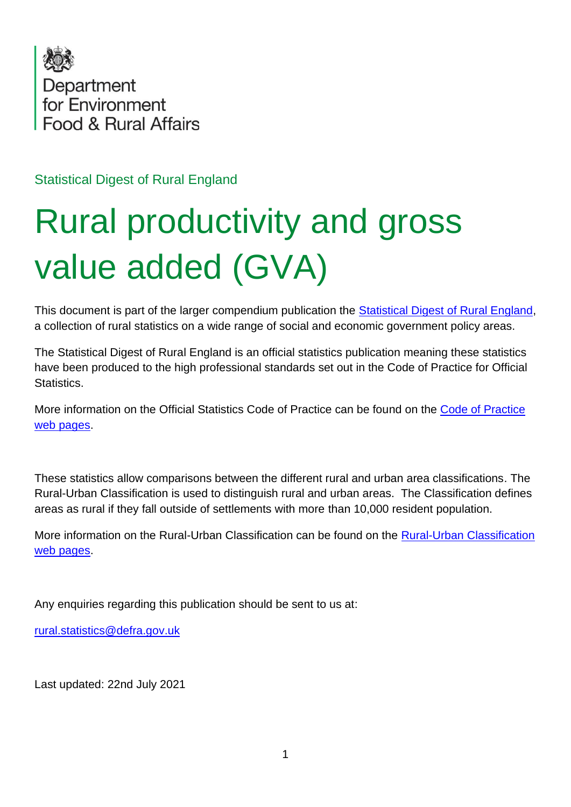

Statistical Digest of Rural England

# Rural productivity and gross value added (GVA)

This document is part of the larger compendium publication the [Statistical Digest of Rural England,](https://www.gov.uk/government/statistics/statistical-digest-of-rural-england) a collection of rural statistics on a wide range of social and economic government policy areas.

The Statistical Digest of Rural England is an official statistics publication meaning these statistics have been produced to the high professional standards set out in the Code of Practice for Official **Statistics** 

More information on the Official Statistics Code of Practice can be found on the [Code of Practice](https://code.statisticsauthority.gov.uk/)  [web pages.](https://code.statisticsauthority.gov.uk/)

These statistics allow comparisons between the different rural and urban area classifications. The Rural-Urban Classification is used to distinguish rural and urban areas. The Classification defines areas as rural if they fall outside of settlements with more than 10,000 resident population.

More information on the [Rural-Urban Classification](https://www.gov.uk/government/collections/rural-urban-classification) can be found on the **Rural-Urban Classification** [web pages.](https://www.gov.uk/government/collections/rural-urban-classification)

Any enquiries regarding this publication should be sent to us at:

[rural.statistics@defra.gov.uk](mailto:rural.statistics@defra.gov.uk)

Last updated: 22nd July 2021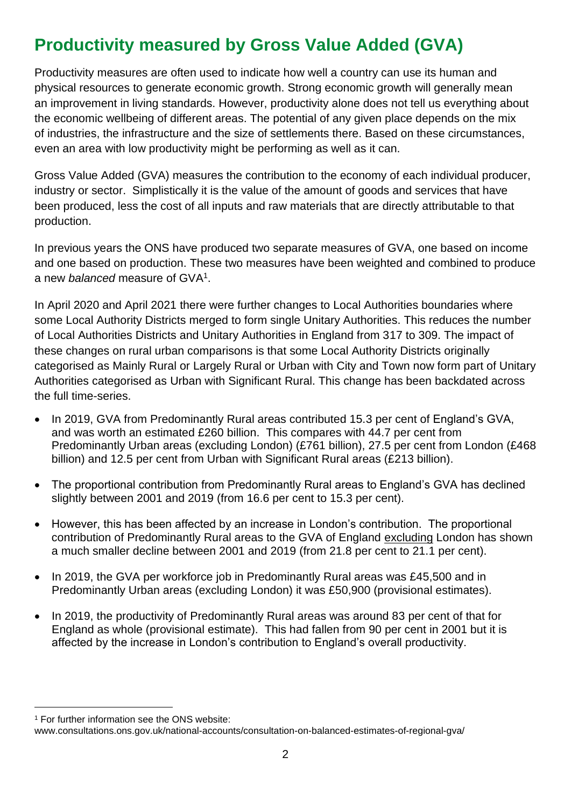## **Productivity measured by Gross Value Added (GVA)**

Productivity measures are often used to indicate how well a country can use its human and physical resources to generate economic growth. Strong economic growth will generally mean an improvement in living standards. However, productivity alone does not tell us everything about the economic wellbeing of different areas. The potential of any given place depends on the mix of industries, the infrastructure and the size of settlements there. Based on these circumstances, even an area with low productivity might be performing as well as it can.

Gross Value Added (GVA) measures the contribution to the economy of each individual producer, industry or sector. Simplistically it is the value of the amount of goods and services that have been produced, less the cost of all inputs and raw materials that are directly attributable to that production.

In previous years the ONS have produced two separate measures of GVA, one based on income and one based on production. These two measures have been weighted and combined to produce a new *balanced* measure of GVA<sup>1</sup>.

In April 2020 and April 2021 there were further changes to Local Authorities boundaries where some Local Authority Districts merged to form single Unitary Authorities. This reduces the number of Local Authorities Districts and Unitary Authorities in England from 317 to 309. The impact of these changes on rural urban comparisons is that some Local Authority Districts originally categorised as Mainly Rural or Largely Rural or Urban with City and Town now form part of Unitary Authorities categorised as Urban with Significant Rural. This change has been backdated across the full time-series.

- In 2019, GVA from Predominantly Rural areas contributed 15.3 per cent of England's GVA, and was worth an estimated £260 billion. This compares with 44.7 per cent from Predominantly Urban areas (excluding London) (£761 billion), 27.5 per cent from London (£468 billion) and 12.5 per cent from Urban with Significant Rural areas (£213 billion).
- The proportional contribution from Predominantly Rural areas to England's GVA has declined slightly between 2001 and 2019 (from 16.6 per cent to 15.3 per cent).
- However, this has been affected by an increase in London's contribution. The proportional contribution of Predominantly Rural areas to the GVA of England excluding London has shown a much smaller decline between 2001 and 2019 (from 21.8 per cent to 21.1 per cent).
- In 2019, the GVA per workforce job in Predominantly Rural areas was £45,500 and in Predominantly Urban areas (excluding London) it was £50,900 (provisional estimates).
- In 2019, the productivity of Predominantly Rural areas was around 83 per cent of that for England as whole (provisional estimate). This had fallen from 90 per cent in 2001 but it is affected by the increase in London's contribution to England's overall productivity.

<sup>1</sup> For further information see the ONS website:

www.consultations.ons.gov.uk/national-accounts/consultation-on-balanced-estimates-of-regional-gva/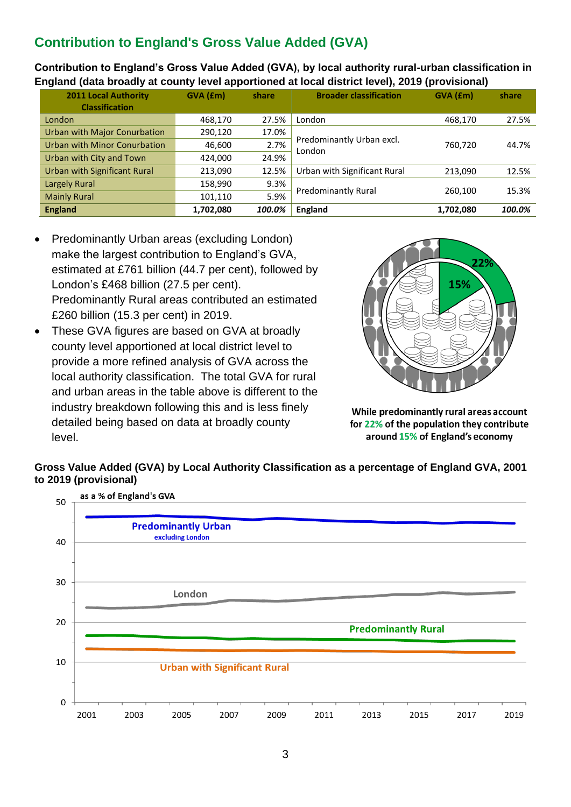## **Contribution to England's Gross Value Added (GVA)**

**Contribution to England's Gross Value Added (GVA), by local authority rural-urban classification in England (data broadly at county level apportioned at local district level), 2019 (provisional)**

| <b>2011 Local Authority</b>  | GVA (£m)  | share  | <b>Broader classification</b>       | $GVA$ ( $Em$ ) | share  |
|------------------------------|-----------|--------|-------------------------------------|----------------|--------|
| <b>Classification</b>        |           |        |                                     |                |        |
| London                       | 468.170   | 27.5%  | London                              | 468.170        | 27.5%  |
| Urban with Major Conurbation | 290,120   | 17.0%  |                                     |                |        |
| Urban with Minor Conurbation | 46,600    | 2.7%   | Predominantly Urban excl.<br>London | 760.720        | 44.7%  |
| Urban with City and Town     | 424,000   | 24.9%  |                                     |                |        |
| Urban with Significant Rural | 213,090   | 12.5%  | Urban with Significant Rural        | 213.090        | 12.5%  |
| Largely Rural                | 158,990   | 9.3%   |                                     | 260.100        | 15.3%  |
| <b>Mainly Rural</b>          | 101.110   | 5.9%   | <b>Predominantly Rural</b>          |                |        |
| <b>England</b>               | 1,702,080 | 100.0% | England                             | 1,702,080      | 100.0% |

- Predominantly Urban areas (excluding London) make the largest contribution to England's GVA, estimated at £761 billion (44.7 per cent), followed by London's £468 billion (27.5 per cent). Predominantly Rural areas contributed an estimated £260 billion (15.3 per cent) in 2019.
- These GVA figures are based on GVA at broadly county level apportioned at local district level to provide a more refined analysis of GVA across the local authority classification. The total GVA for rural and urban areas in the table above is different to the industry breakdown following this and is less finely detailed being based on data at broadly county level.



While predominantly rural areas account for 22% of the population they contribute around 15% of England's economy

### **Gross Value Added (GVA) by Local Authority Classification as a percentage of England GVA, 2001 to 2019 (provisional)**

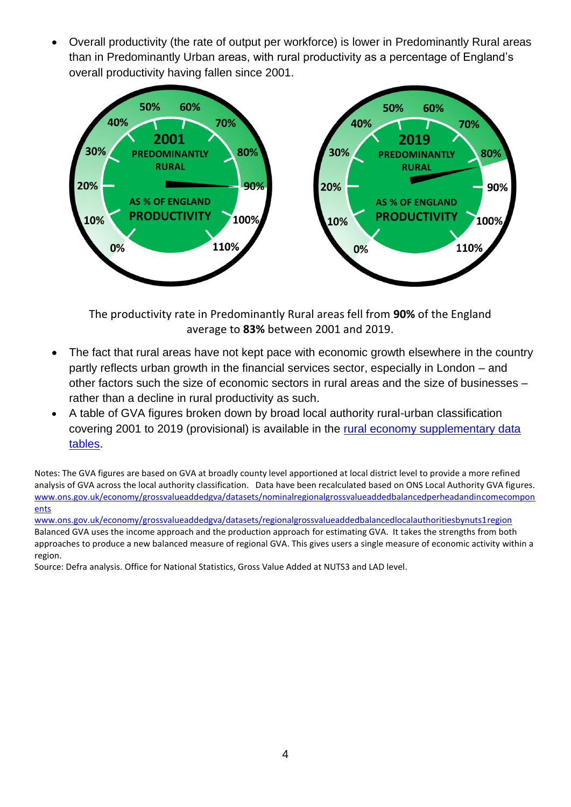• Overall productivity (the rate of output per workforce) is lower in Predominantly Rural areas than in Predominantly Urban areas, with rural productivity as a percentage of England's overall productivity having fallen since 2001.



The productivity rate in Predominantly Rural areas fell from **90%** of the England average to **83%** between 2001 and 2019.

- The fact that rural areas have not kept pace with economic growth elsewhere in the country partly reflects urban growth in the financial services sector, especially in London – and other factors such the size of economic sectors in rural areas and the size of businesses – rather than a decline in rural productivity as such.
- A table of GVA figures broken down by broad local authority rural-urban classification covering 2001 to 2019 (provisional) is available in the [rural economy supplementary data](https://www.gov.uk/government/statistics/statistical-digest-of-rural-england)  [tables.](https://www.gov.uk/government/statistics/statistical-digest-of-rural-england)

Notes: The GVA figures are based on GVA at broadly county level apportioned at local district level to provide a more refined analysis of GVA across the local authority classification. Data have been recalculated based on ONS Local Authority GVA figures[.](http://www.ons.gov.uk/economy/grossvalueaddedgva/datasets/nominalregionalgrossvalueaddedbalancedperheadandincomecomponents) [www.ons.gov.uk/economy/grossvalueaddedgva/datasets/nominalregionalgrossvalueaddedbalancedperheadandincomecompon](https://www.ons.gov.uk/economy/grossvalueaddedgva/datasets/nominalregionalgrossvalueaddedbalancedperheadandincomecomponents) [ents](https://www.ons.gov.uk/economy/grossvalueaddedgva/datasets/nominalregionalgrossvalueaddedbalancedperheadandincomecomponents)

[www.ons.gov.uk/economy/grossvalueaddedgva/datasets/regionalgrossvalueaddedbalancedlocalauthoritiesbynuts1region](https://www.ons.gov.uk/economy/grossvalueaddedgva/datasets/regionalgrossvalueaddedbalancedlocalauthoritiesbynuts1region) Balanced GVA uses the income approach and the production approach for estimating GVA. It takes the strengths from both approaches to produce a new balanced measure of regional GVA. This gives users a single measure of economic activity within a region.

Source: Defra analysis. Office for National Statistics, Gross Value Added at NUTS3 and LAD level.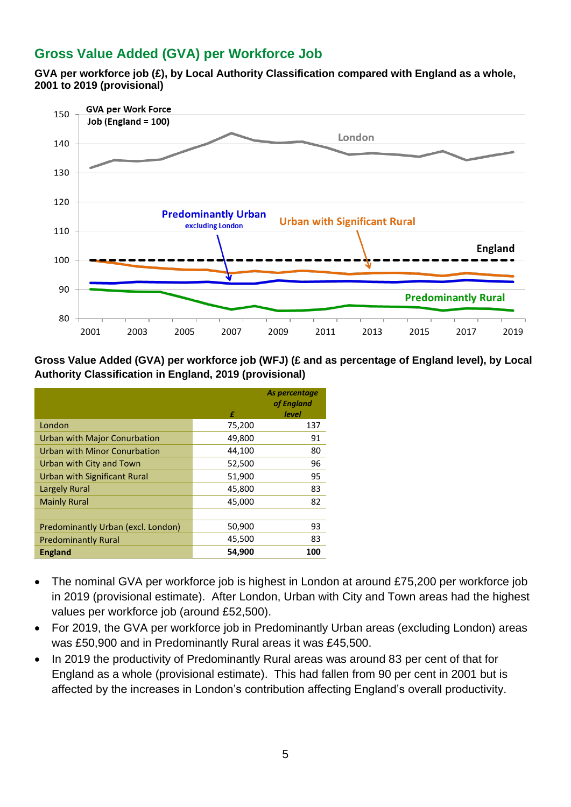## **Gross Value Added (GVA) per Workforce Job**

**GVA per workforce job (£), by Local Authority Classification compared with England as a whole, 2001 to 2019 (provisional)**



**Gross Value Added (GVA) per workforce job (WFJ) (£ and as percentage of England level), by Local Authority Classification in England, 2019 (provisional)**

|                                    |        | As percentage<br>of England |
|------------------------------------|--------|-----------------------------|
|                                    | £      | level                       |
| London                             | 75,200 | 137                         |
| Urban with Major Conurbation       | 49,800 | 91                          |
| Urban with Minor Conurbation       | 44,100 | 80                          |
| Urban with City and Town           | 52,500 | 96                          |
| Urban with Significant Rural       | 51,900 | 95                          |
| Largely Rural                      | 45,800 | 83                          |
| <b>Mainly Rural</b>                | 45,000 | 82                          |
|                                    |        |                             |
| Predominantly Urban (excl. London) | 50,900 | 93                          |
| <b>Predominantly Rural</b>         | 45,500 | 83                          |
| <b>England</b>                     | 54,900 | 100                         |

- The nominal GVA per workforce job is highest in London at around £75,200 per workforce job in 2019 (provisional estimate). After London, Urban with City and Town areas had the highest values per workforce job (around £52,500).
- For 2019, the GVA per workforce job in Predominantly Urban areas (excluding London) areas was £50,900 and in Predominantly Rural areas it was £45,500.
- In 2019 the productivity of Predominantly Rural areas was around 83 per cent of that for England as a whole (provisional estimate). This had fallen from 90 per cent in 2001 but is affected by the increases in London's contribution affecting England's overall productivity.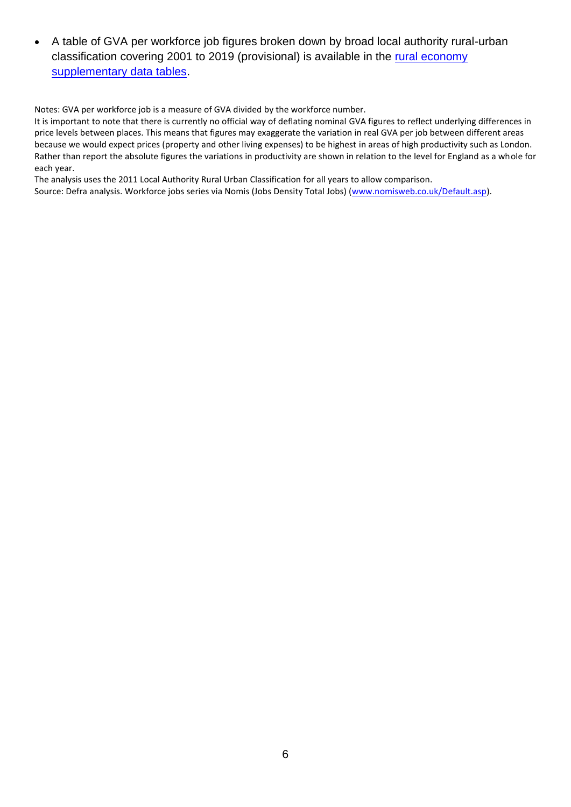• A table of GVA per workforce job figures broken down by broad local authority rural-urban classification covering 2001 to 2019 (provisional) is available in the rural economy [supplementary data tables.](https://www.gov.uk/government/statistics/statistical-digest-of-rural-england)

Notes: GVA per workforce job is a measure of GVA divided by the workforce number.

It is important to note that there is currently no official way of deflating nominal GVA figures to reflect underlying differences in price levels between places. This means that figures may exaggerate the variation in real GVA per job between different areas because we would expect prices (property and other living expenses) to be highest in areas of high productivity such as London. Rather than report the absolute figures the variations in productivity are shown in relation to the level for England as a whole for each year.

The analysis uses the 2011 Local Authority Rural Urban Classification for all years to allow comparison.

Source: Defra analysis. Workforce jobs series via Nomis (Jobs Density Total Jobs) [\(www.nomisweb.co.uk/Default.asp\)](https://www.nomisweb.co.uk/Default.asp).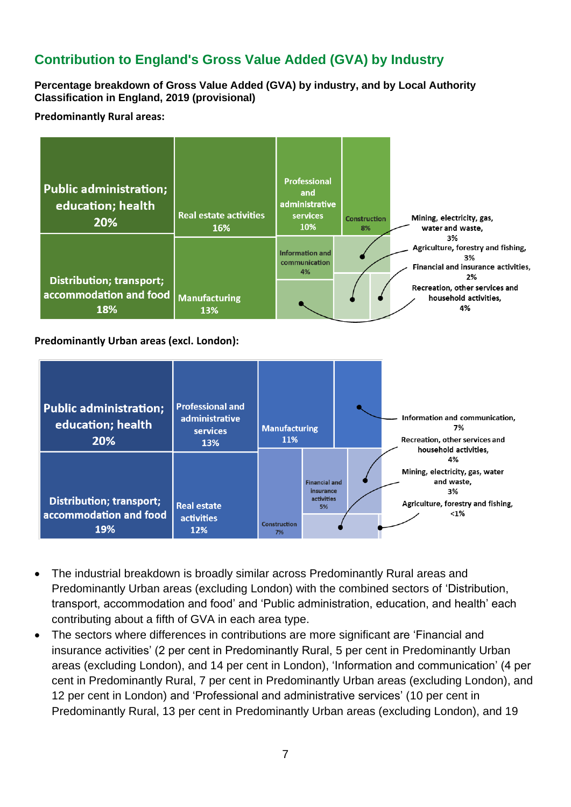## **Contribution to England's Gross Value Added (GVA) by Industry**

#### **Percentage breakdown of Gross Value Added (GVA) by industry, and by Local Authority Classification in England, 2019 (provisional)**

**Predominantly Rural areas:**

| <b>Public administration;</b><br>education; health<br>20%        | <b>Real estate activities</b><br>16% | Professional<br>and<br>administrative<br>services<br>10% | <b>Construction</b><br>8% | Mining, electricity, gas,<br>water and waste,                                                                                                                |
|------------------------------------------------------------------|--------------------------------------|----------------------------------------------------------|---------------------------|--------------------------------------------------------------------------------------------------------------------------------------------------------------|
| <b>Distribution; transport;</b><br>accommodation and food<br>18% | <b>Manufacturing</b><br>13%          | Information and<br>communication<br>4%                   |                           | 3%<br>Agriculture, forestry and fishing,<br>3%<br>Financial and insurance activities,<br>2%<br>Recreation, other services and<br>household activities,<br>4% |

#### **Predominantly Urban areas (excl. London):**

| <b>Public administration;</b><br>education; health<br>20%        | <b>Professional and</b><br>administrative<br><b>services</b><br>13% | <b>Manufacturing</b><br><b>11%</b> |                                                       | Information and communication,<br>7%<br>Recreation, other services and<br>household activities,         |
|------------------------------------------------------------------|---------------------------------------------------------------------|------------------------------------|-------------------------------------------------------|---------------------------------------------------------------------------------------------------------|
| <b>Distribution; transport;</b><br>accommodation and food<br>19% | <b>Real estate</b><br><b>activities</b><br>12%                      | <b>Construction</b><br>7%          | <b>Financial and</b><br>insurance<br>activities<br>5% | 4%<br>Mining, electricity, gas, water<br>and waste,<br>3%<br>Agriculture, forestry and fishing,<br>$1%$ |

- The industrial breakdown is broadly similar across Predominantly Rural areas and Predominantly Urban areas (excluding London) with the combined sectors of 'Distribution, transport, accommodation and food' and 'Public administration, education, and health' each contributing about a fifth of GVA in each area type.
- The sectors where differences in contributions are more significant are 'Financial and insurance activities' (2 per cent in Predominantly Rural, 5 per cent in Predominantly Urban areas (excluding London), and 14 per cent in London), 'Information and communication' (4 per cent in Predominantly Rural, 7 per cent in Predominantly Urban areas (excluding London), and 12 per cent in London) and 'Professional and administrative services' (10 per cent in Predominantly Rural, 13 per cent in Predominantly Urban areas (excluding London), and 19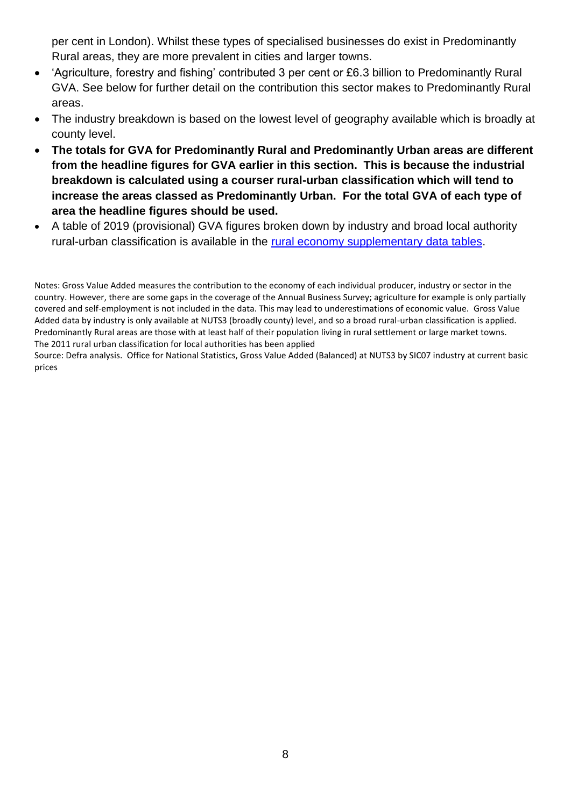per cent in London). Whilst these types of specialised businesses do exist in Predominantly Rural areas, they are more prevalent in cities and larger towns.

- 'Agriculture, forestry and fishing' contributed 3 per cent or £6.3 billion to Predominantly Rural GVA. See below for further detail on the contribution this sector makes to Predominantly Rural areas.
- The industry breakdown is based on the lowest level of geography available which is broadly at county level.
- **The totals for GVA for Predominantly Rural and Predominantly Urban areas are different from the headline figures for GVA earlier in this section. This is because the industrial breakdown is calculated using a courser rural-urban classification which will tend to increase the areas classed as Predominantly Urban. For the total GVA of each type of area the headline figures should be used.**
- A table of 2019 (provisional) GVA figures broken down by industry and broad local authority rural-urban classification is available in the [rural economy supplementary data tables.](https://www.gov.uk/government/statistics/statistical-digest-of-rural-england)

Notes: Gross Value Added measures the contribution to the economy of each individual producer, industry or sector in the country. However, there are some gaps in the coverage of the Annual Business Survey; agriculture for example is only partially covered and self-employment is not included in the data. This may lead to underestimations of economic value. Gross Value Added data by industry is only available at NUTS3 (broadly county) level, and so a broad rural-urban classification is applied. Predominantly Rural areas are those with at least half of their population living in rural settlement or large market towns. The 2011 rural urban classification for local authorities has been applied

Source: Defra analysis. Office for National Statistics, Gross Value Added (Balanced) at NUTS3 by SIC07 industry at current basic prices